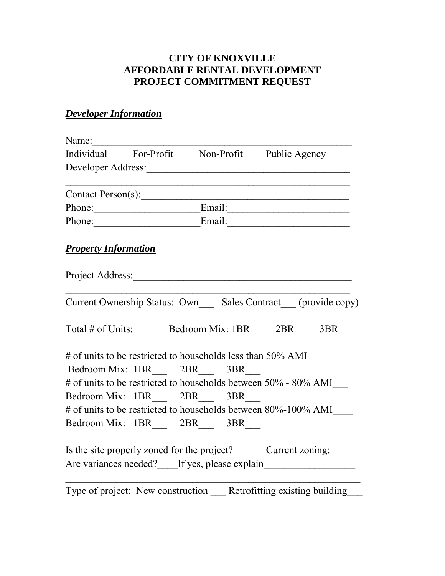## **CITY OF KNOXVILLE AFFORDABLE RENTAL DEVELOPMENT PROJECT COMMITMENT REQUEST**

## *Developer Information*

| Individual For-Profit Mon-Profit Public Agency                              |                      |  |  |  |                                                             |
|-----------------------------------------------------------------------------|----------------------|--|--|--|-------------------------------------------------------------|
|                                                                             |                      |  |  |  |                                                             |
|                                                                             |                      |  |  |  |                                                             |
| Contact Person(s):                                                          |                      |  |  |  |                                                             |
|                                                                             | Phone: Email: Email: |  |  |  |                                                             |
| Phone: Email: Email:                                                        |                      |  |  |  |                                                             |
| <b>Property Information</b>                                                 |                      |  |  |  |                                                             |
|                                                                             |                      |  |  |  |                                                             |
|                                                                             |                      |  |  |  | Current Ownership Status: Own Sales Contract (provide copy) |
| Total # of Units: Bedroom Mix: 1BR 2BR 3BR                                  |                      |  |  |  |                                                             |
| # of units to be restricted to households less than 50% AMI                 |                      |  |  |  |                                                             |
| Bedroom Mix: 1BR 2BR 3BR                                                    |                      |  |  |  |                                                             |
| # of units to be restricted to households between 50% - 80% AMI             |                      |  |  |  |                                                             |
| Bedroom Mix: 1BR 2BR 3BR                                                    |                      |  |  |  |                                                             |
| # of units to be restricted to households between 80%-100% AMI              |                      |  |  |  |                                                             |
| Bedroom Mix: 1BR 2BR 3BR                                                    |                      |  |  |  |                                                             |
| Is the site properly zoned for the project? ________Current zoning: _______ |                      |  |  |  |                                                             |
|                                                                             |                      |  |  |  | Are variances needed? If yes, please explain                |
|                                                                             |                      |  |  |  |                                                             |

Type of project: New construction Retrofitting existing building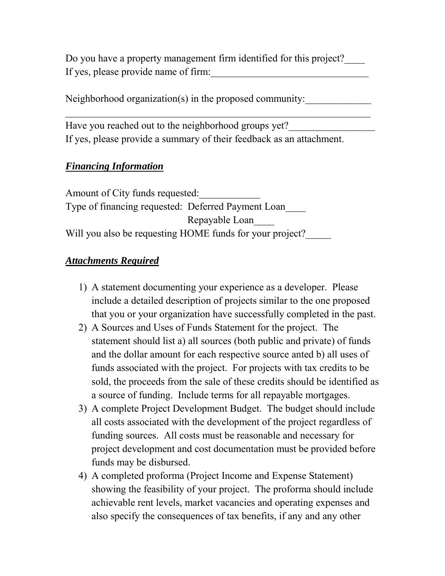Do you have a property management firm identified for this project?\_\_\_\_ If yes, please provide name of firm:

 $\mathcal{L}_\text{max}$  , and the contract of the contract of the contract of the contract of the contract of the contract of the contract of the contract of the contract of the contract of the contract of the contract of the contr

Neighborhood organization(s) in the proposed community:

Have you reached out to the neighborhood groups yet? If yes, please provide a summary of their feedback as an attachment.

## *Financing Information*

Amount of City funds requested: Type of financing requested: Deferred Payment Loan\_\_\_\_ Repayable Loan\_\_\_\_ Will you also be requesting HOME funds for your project?

## *Attachments Required*

- 1) A statement documenting your experience as a developer. Please include a detailed description of projects similar to the one proposed that you or your organization have successfully completed in the past.
- 2) A Sources and Uses of Funds Statement for the project. The statement should list a) all sources (both public and private) of funds and the dollar amount for each respective source anted b) all uses of funds associated with the project. For projects with tax credits to be sold, the proceeds from the sale of these credits should be identified as a source of funding. Include terms for all repayable mortgages.
- 3) A complete Project Development Budget. The budget should include all costs associated with the development of the project regardless of funding sources. All costs must be reasonable and necessary for project development and cost documentation must be provided before funds may be disbursed.
- 4) A completed proforma (Project Income and Expense Statement) showing the feasibility of your project. The proforma should include achievable rent levels, market vacancies and operating expenses and also specify the consequences of tax benefits, if any and any other